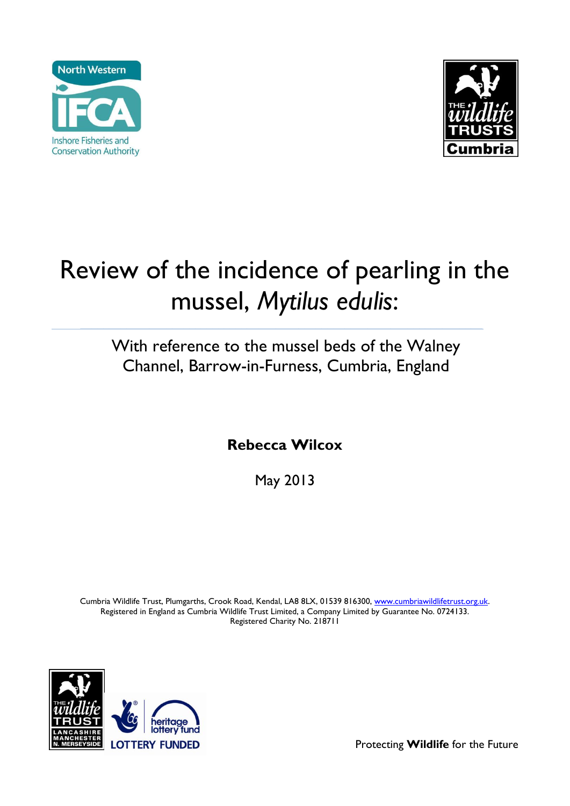



# Review of the incidence of pearling in the mussel, *Mytilus edulis*:

## With reference to the mussel beds of the Walney Channel, Barrow-in-Furness, Cumbria, England

**\_\_\_\_\_\_\_\_\_\_\_\_\_\_\_\_\_\_\_\_\_\_\_\_\_\_\_\_\_\_\_\_\_\_\_\_\_\_\_\_\_\_\_\_\_\_\_\_\_\_\_\_\_\_\_\_\_\_\_\_\_\_\_\_\_\_\_\_\_\_**

**Rebecca Wilcox**

May 2013

Cumbria Wildlife Trust, Plumgarths, Crook Road, Kendal, LA8 8LX, 01539 816300, www.cumbriawildlifetrust.org.uk. Registered in England as Cumbria Wildlife Trust Limited, a Company Limited by Guarantee No. 0724133. Registered Charity No. 218711



Protecting **Wildlife** for the Future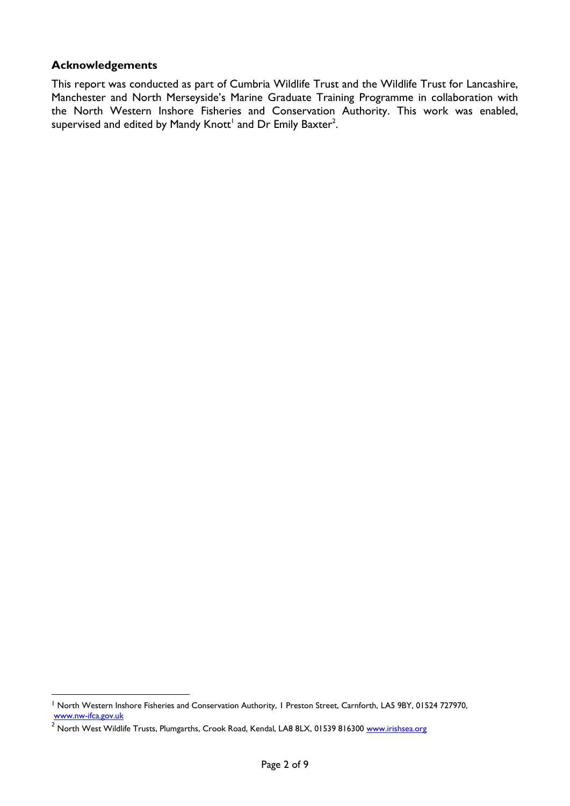#### **Acknowledgements**

 $\overline{a}$ 

This report was conducted as part of Cumbria Wildlife Trust and the Wildlife Trust for Lancashire, Manchester and North Merseyside's Marine Graduate Training Programme in collaboration with the North Western Inshore Fisheries and Conservation Authority. This work was enabled, supervised and edited by Mandy Knott $^{\rm l}$  and Dr Emily Baxter $^{\rm 2}$ .

<sup>&</sup>lt;sup>1</sup> North Western Inshore Fisheries and Conservation Authority, 1 Preston Street, Carnforth, LA5 9BY, 01524 727970, [www.nw-ifca.gov.uk](http://www.nw-ifca.gov.uk/)

<sup>&</sup>lt;sup>2</sup> North West Wildlife Trusts, Plumgarths, Crook Road, Kendal, LA8 8LX, 01539 816300 [www.irishsea.org](http://www.irishsea.org/)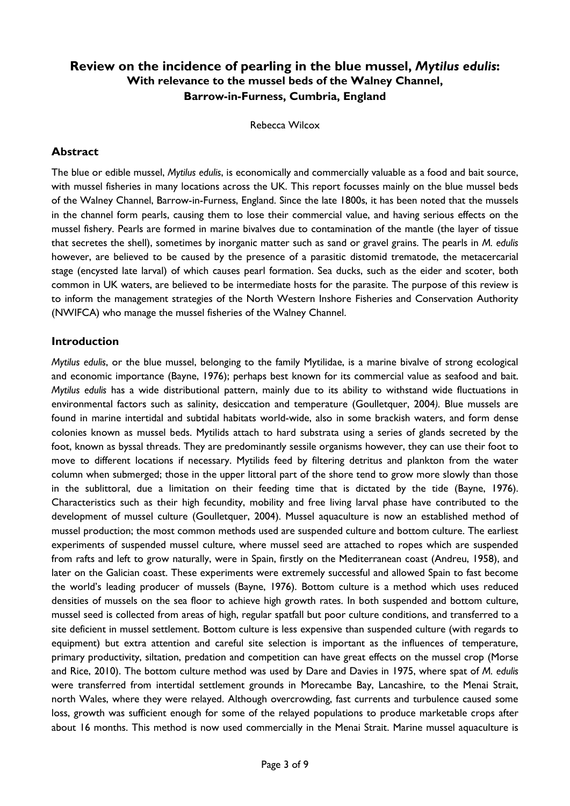### **Review on the incidence of pearling in the blue mussel,** *Mytilus edulis***: With relevance to the mussel beds of the Walney Channel, Barrow-in-Furness, Cumbria, England**

Rebecca Wilcox

#### **Abstract**

The blue or edible mussel, *Mytilus edulis*, is economically and commercially valuable as a food and bait source, with mussel fisheries in many locations across the UK. This report focusses mainly on the blue mussel beds of the Walney Channel, Barrow-in-Furness, England. Since the late 1800s, it has been noted that the mussels in the channel form pearls, causing them to lose their commercial value, and having serious effects on the mussel fishery. Pearls are formed in marine bivalves due to contamination of the mantle (the layer of tissue that secretes the shell), sometimes by inorganic matter such as sand or gravel grains. The pearls in *M. edulis* however, are believed to be caused by the presence of a parasitic distomid trematode, the metacercarial stage (encysted late larval) of which causes pearl formation. Sea ducks, such as the eider and scoter, both common in UK waters, are believed to be intermediate hosts for the parasite. The purpose of this review is to inform the management strategies of the North Western Inshore Fisheries and Conservation Authority (NWIFCA) who manage the mussel fisheries of the Walney Channel.

#### **Introduction**

*Mytilus edulis*, or the blue mussel, belonging to the family Mytilidae, is a marine bivalve of strong ecological and economic importance (Bayne, 1976); perhaps best known for its commercial value as seafood and bait. *Mytilus edulis* has a wide distributional pattern, mainly due to its ability to withstand wide fluctuations in environmental factors such as salinity, desiccation and temperature (Goulletquer, 2004*).* Blue mussels are found in marine intertidal and subtidal habitats world-wide, also in some brackish waters, and form dense colonies known as mussel beds. Mytilids attach to hard substrata using a series of glands secreted by the foot, known as byssal threads. They are predominantly sessile organisms however, they can use their foot to move to different locations if necessary. Mytilids feed by filtering detritus and plankton from the water column when submerged; those in the upper littoral part of the shore tend to grow more slowly than those in the sublittoral, due a limitation on their feeding time that is dictated by the tide (Bayne, 1976). Characteristics such as their high fecundity, mobility and free living larval phase have contributed to the development of mussel culture (Goulletquer, 2004). Mussel aquaculture is now an established method of mussel production; the most common methods used are suspended culture and bottom culture. The earliest experiments of suspended mussel culture, where mussel seed are attached to ropes which are suspended from rafts and left to grow naturally, were in Spain, firstly on the Mediterranean coast (Andreu, 1958), and later on the Galician coast. These experiments were extremely successful and allowed Spain to fast become the world's leading producer of mussels (Bayne, 1976). Bottom culture is a method which uses reduced densities of mussels on the sea floor to achieve high growth rates. In both suspended and bottom culture, mussel seed is collected from areas of high, regular spatfall but poor culture conditions, and transferred to a site deficient in mussel settlement. Bottom culture is less expensive than suspended culture (with regards to equipment) but extra attention and careful site selection is important as the influences of temperature, primary productivity, siltation, predation and competition can have great effects on the mussel crop (Morse and Rice, 2010). The bottom culture method was used by Dare and Davies in 1975, where spat of *M. edulis* were transferred from intertidal settlement grounds in Morecambe Bay, Lancashire, to the Menai Strait, north Wales, where they were relayed. Although overcrowding, fast currents and turbulence caused some loss, growth was sufficient enough for some of the relayed populations to produce marketable crops after about 16 months. This method is now used commercially in the Menai Strait. Marine mussel aquaculture is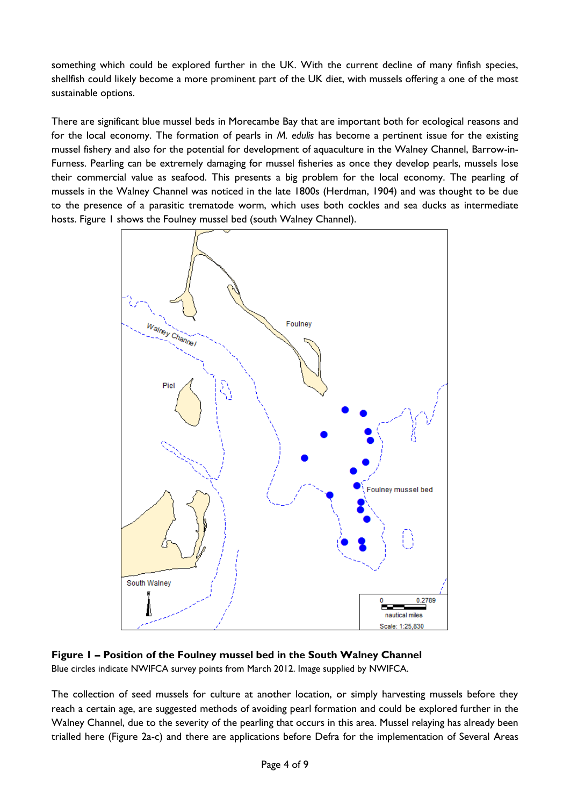something which could be explored further in the UK. With the current decline of many finfish species, shellfish could likely become a more prominent part of the UK diet, with mussels offering a one of the most sustainable options.

There are significant blue mussel beds in Morecambe Bay that are important both for ecological reasons and for the local economy. The formation of pearls in *M. edulis* has become a pertinent issue for the existing mussel fishery and also for the potential for development of aquaculture in the Walney Channel, Barrow-in-Furness. Pearling can be extremely damaging for mussel fisheries as once they develop pearls, mussels lose their commercial value as seafood. This presents a big problem for the local economy. The pearling of mussels in the Walney Channel was noticed in the late 1800s (Herdman, 1904) and was thought to be due to the presence of a parasitic trematode worm, which uses both cockles and sea ducks as intermediate hosts. Figure 1 shows the Foulney mussel bed (south Walney Channel).



**Figure 1 – Position of the Foulney mussel bed in the South Walney Channel** Blue circles indicate NWIFCA survey points from March 2012. Image supplied by NWIFCA.

The collection of seed mussels for culture at another location, or simply harvesting mussels before they reach a certain age, are suggested methods of avoiding pearl formation and could be explored further in the Walney Channel, due to the severity of the pearling that occurs in this area. Mussel relaying has already been trialled here (Figure 2a-c) and there are applications before Defra for the implementation of Several Areas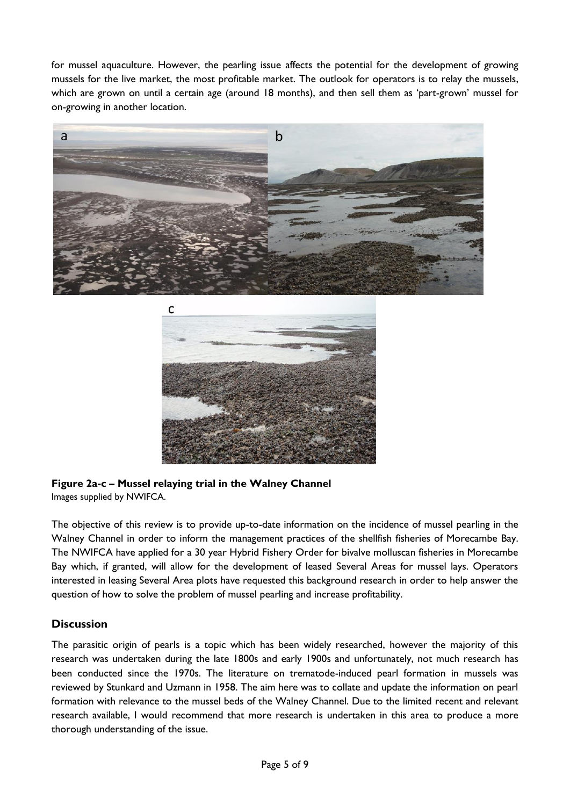for mussel aquaculture. However, the pearling issue affects the potential for the development of growing mussels for the live market, the most profitable market. The outlook for operators is to relay the mussels, which are grown on until a certain age (around 18 months), and then sell them as 'part-grown' mussel for on-growing in another location.





**Figure 2a-c – Mussel relaying trial in the Walney Channel**  Images supplied by NWIFCA.

The objective of this review is to provide up-to-date information on the incidence of mussel pearling in the Walney Channel in order to inform the management practices of the shellfish fisheries of Morecambe Bay. The NWIFCA have applied for a 30 year Hybrid Fishery Order for bivalve molluscan fisheries in Morecambe Bay which, if granted, will allow for the development of leased Several Areas for mussel lays. Operators interested in leasing Several Area plots have requested this background research in order to help answer the question of how to solve the problem of mussel pearling and increase profitability.

#### **Discussion**

The parasitic origin of pearls is a topic which has been widely researched, however the majority of this research was undertaken during the late 1800s and early 1900s and unfortunately, not much research has been conducted since the 1970s. The literature on trematode-induced pearl formation in mussels was reviewed by Stunkard and Uzmann in 1958. The aim here was to collate and update the information on pearl formation with relevance to the mussel beds of the Walney Channel. Due to the limited recent and relevant research available, I would recommend that more research is undertaken in this area to produce a more thorough understanding of the issue.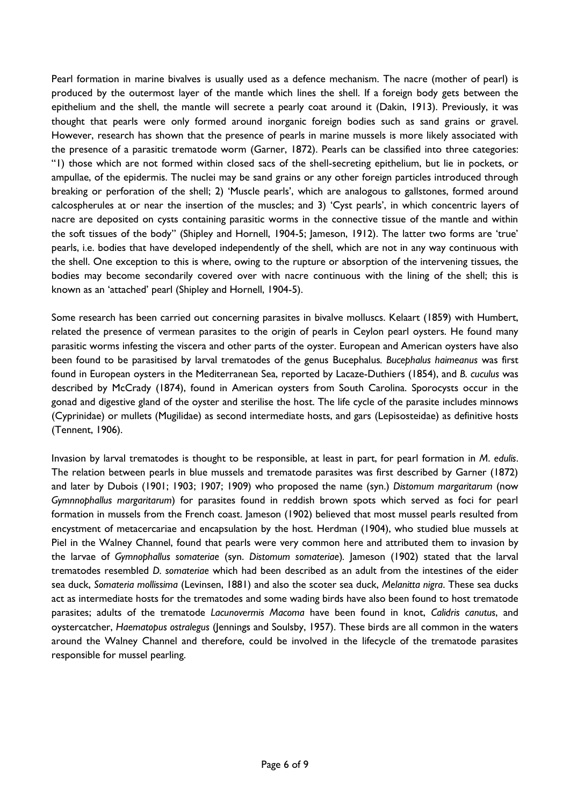Pearl formation in marine bivalves is usually used as a defence mechanism. The nacre (mother of pearl) is produced by the outermost layer of the mantle which lines the shell. If a foreign body gets between the epithelium and the shell, the mantle will secrete a pearly coat around it (Dakin, 1913). Previously, it was thought that pearls were only formed around inorganic foreign bodies such as sand grains or gravel. However, research has shown that the presence of pearls in marine mussels is more likely associated with the presence of a parasitic trematode worm (Garner, 1872). Pearls can be classified into three categories: "1) those which are not formed within closed sacs of the shell-secreting epithelium, but lie in pockets, or ampullae, of the epidermis. The nuclei may be sand grains or any other foreign particles introduced through breaking or perforation of the shell; 2) 'Muscle pearls', which are analogous to gallstones, formed around calcospherules at or near the insertion of the muscles; and 3) 'Cyst pearls', in which concentric layers of nacre are deposited on cysts containing parasitic worms in the connective tissue of the mantle and within the soft tissues of the body" (Shipley and Hornell, 1904-5; Jameson, 1912). The latter two forms are 'true' pearls, i.e. bodies that have developed independently of the shell, which are not in any way continuous with the shell. One exception to this is where, owing to the rupture or absorption of the intervening tissues, the bodies may become secondarily covered over with nacre continuous with the lining of the shell; this is known as an 'attached' pearl (Shipley and Hornell, 1904-5).

Some research has been carried out concerning parasites in bivalve molluscs. Kelaart (1859) with Humbert, related the presence of vermean parasites to the origin of pearls in Ceylon pearl oysters. He found many parasitic worms infesting the viscera and other parts of the oyster. European and American oysters have also been found to be parasitised by larval trematodes of the genus Bucephalus*. Bucephalus haimeanus* was first found in European oysters in the Mediterranean Sea, reported by Lacaze-Duthiers (1854), and *B. cuculus* was described by McCrady (1874), found in American oysters from South Carolina. Sporocysts occur in the gonad and digestive gland of the oyster and sterilise the host. The life cycle of the parasite includes minnows (Cyprinidae) or mullets (Mugilidae) as second intermediate hosts, and gars (Lepisosteidae) as definitive hosts (Tennent, 1906).

Invasion by larval trematodes is thought to be responsible, at least in part, for pearl formation in *M*. *edulis*. The relation between pearls in blue mussels and trematode parasites was first described by Garner (1872) and later by Dubois (1901; 1903; 1907; 1909) who proposed the name (syn.) *Distomum margaritarum* (now *Gymnnophallus margaritarum*) for parasites found in reddish brown spots which served as foci for pearl formation in mussels from the French coast. Jameson (1902) believed that most mussel pearls resulted from encystment of metacercariae and encapsulation by the host. Herdman (1904), who studied blue mussels at Piel in the Walney Channel, found that pearls were very common here and attributed them to invasion by the larvae of *Gymnophallus somateriae* (syn. *Distomum somateriae*)*.* Jameson (1902) stated that the larval trematodes resembled *D. somateriae* which had been described as an adult from the intestines of the eider sea duck, *Somateria mollissima* (Levinsen, 1881) and also the scoter sea duck, *Melanitta nigra*. These sea ducks act as intermediate hosts for the trematodes and some wading birds have also been found to host trematode parasites; adults of the trematode *Lacunovermis Macoma* have been found in knot, *Calidris canutus*, and oystercatcher, *Haematopus ostralegus* (Jennings and Soulsby, 1957). These birds are all common in the waters around the Walney Channel and therefore, could be involved in the lifecycle of the trematode parasites responsible for mussel pearling.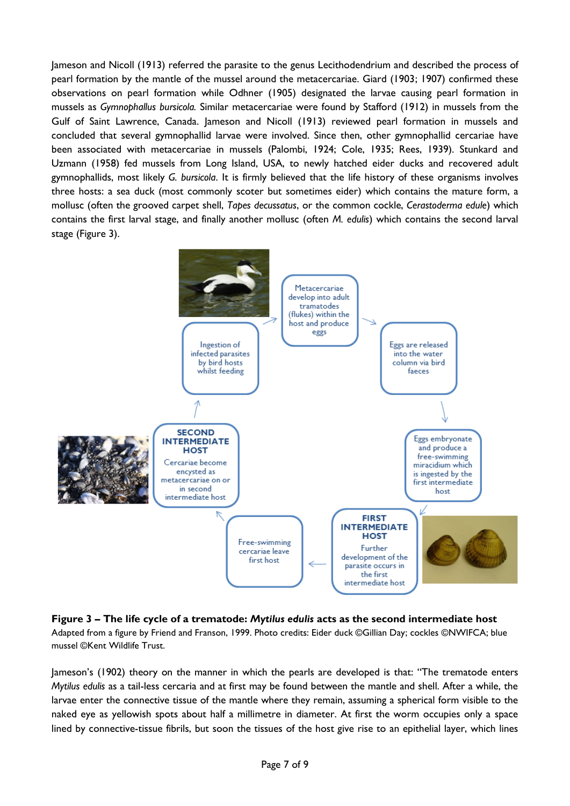Jameson and Nicoll (1913) referred the parasite to the genus Lecithodendrium and described the process of pearl formation by the mantle of the mussel around the metacercariae. Giard (1903; 1907) confirmed these observations on pearl formation while Odhner (1905) designated the larvae causing pearl formation in mussels as *Gymnophallus bursicola.* Similar metacercariae were found by Stafford (1912) in mussels from the Gulf of Saint Lawrence, Canada. Jameson and Nicoll (1913) reviewed pearl formation in mussels and concluded that several gymnophallid larvae were involved. Since then, other gymnophallid cercariae have been associated with metacercariae in mussels (Palombi, 1924; Cole, 1935; Rees, 1939). Stunkard and Uzmann (1958) fed mussels from Long Island, USA, to newly hatched eider ducks and recovered adult gymnophallids, most likely *G. bursicola*. It is firmly believed that the life history of these organisms involves three hosts: a sea duck (most commonly scoter but sometimes eider) which contains the mature form, a mollusc (often the grooved carpet shell, *Tapes decussatus*, or the common cockle, *Cerastoderma edule*) which contains the first larval stage, and finally another mollusc (often *M. edulis*) which contains the second larval stage (Figure 3).



**Figure 3 – The life cycle of a trematode:** *Mytilus edulis* **acts as the second intermediate host** Adapted from a figure by Friend and Franson, 1999. Photo credits: Eider duck ©Gillian Day; cockles ©NWIFCA; blue mussel ©Kent Wildlife Trust.

Jameson's (1902) theory on the manner in which the pearls are developed is that: "The trematode enters *Mytilus edulis* as a tail-less cercaria and at first may be found between the mantle and shell. After a while, the larvae enter the connective tissue of the mantle where they remain, assuming a spherical form visible to the naked eye as yellowish spots about half a millimetre in diameter. At first the worm occupies only a space lined by connective-tissue fibrils, but soon the tissues of the host give rise to an epithelial layer, which lines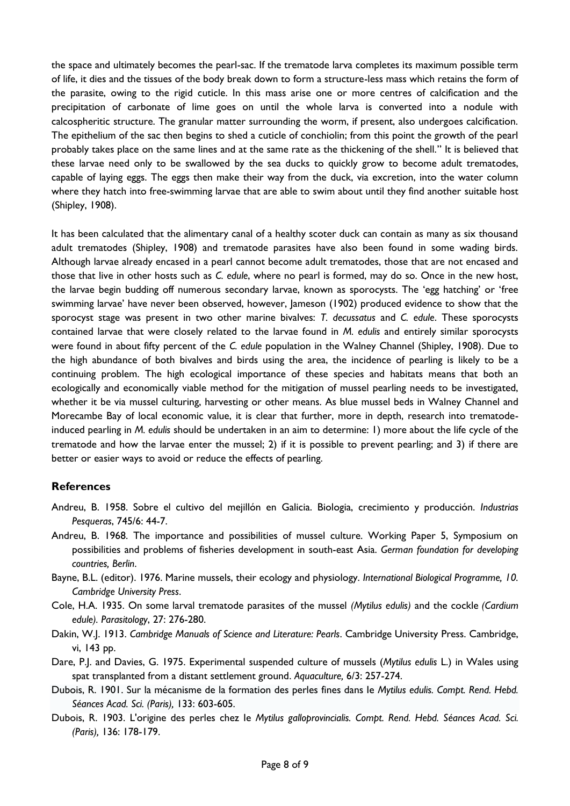the space and ultimately becomes the pearl-sac. If the trematode larva completes its maximum possible term of life, it dies and the tissues of the body break down to form a structure-less mass which retains the form of the parasite, owing to the rigid cuticle. In this mass arise one or more centres of calcification and the precipitation of carbonate of lime goes on until the whole larva is converted into a nodule with calcospheritic structure. The granular matter surrounding the worm, if present, also undergoes calcification. The epithelium of the sac then begins to shed a cuticle of conchiolin; from this point the growth of the pearl probably takes place on the same lines and at the same rate as the thickening of the shell." It is believed that these larvae need only to be swallowed by the sea ducks to quickly grow to become adult trematodes, capable of laying eggs. The eggs then make their way from the duck, via excretion, into the water column where they hatch into free-swimming larvae that are able to swim about until they find another suitable host (Shipley, 1908).

It has been calculated that the alimentary canal of a healthy scoter duck can contain as many as six thousand adult trematodes (Shipley, 1908) and trematode parasites have also been found in some wading birds. Although larvae already encased in a pearl cannot become adult trematodes, those that are not encased and those that live in other hosts such as *C. edule*, where no pearl is formed, may do so. Once in the new host, the larvae begin budding off numerous secondary larvae, known as sporocysts. The 'egg hatching' or 'free swimming larvae' have never been observed, however, Jameson (1902) produced evidence to show that the sporocyst stage was present in two other marine bivalves: *T. decussatus* and *C. edule*. These sporocysts contained larvae that were closely related to the larvae found in *M. edulis* and entirely similar sporocysts were found in about fifty percent of the *C. edule* population in the Walney Channel (Shipley, 1908). Due to the high abundance of both bivalves and birds using the area, the incidence of pearling is likely to be a continuing problem. The high ecological importance of these species and habitats means that both an ecologically and economically viable method for the mitigation of mussel pearling needs to be investigated, whether it be via mussel culturing, harvesting or other means. As blue mussel beds in Walney Channel and Morecambe Bay of local economic value, it is clear that further, more in depth, research into trematodeinduced pearling in *M. edulis* should be undertaken in an aim to determine: 1) more about the life cycle of the trematode and how the larvae enter the mussel; 2) if it is possible to prevent pearling; and 3) if there are better or easier ways to avoid or reduce the effects of pearling.

#### **References**

- Andreu, B. 1958. Sobre el cultivo del mejillón en Galicia. Biologia, crecimiento y producción. *Industrias Pesqueras*, 745/6: 44-7.
- Andreu, B. 1968. The importance and possibilities of mussel culture. Working Paper 5, Symposium on possibilities and problems of fisheries development in south-east Asia. *German foundation for developing countries, Berlin*.
- Bayne, B.L. (editor). 1976. Marine mussels, their ecology and physiology. *International Biological Programme, 10. Cambridge University Press*.
- Cole, H.A. 1935. On some larval trematode parasites of the mussel *(Mytilus edulis)* and the cockle *(Cardium edule). Parasitology*, 27: 276-280.
- Dakin, W.J. 1913. *Cambridge Manuals of Science and Literature: Pearls*. Cambridge University Press. Cambridge, vi, 143 pp.
- Dare, P.J. and Davies, G. 1975. Experimental suspended culture of mussels (*Mytilus edulis* L.) in Wales using spat transplanted from a distant settlement ground. *Aquaculture,* [6/3:](http://www.sciencedirect.com/science/journal/00448486/6/3) 257-274.
- Dubois, R. 1901. Sur la mécanisme de la formation des perles fines dans Ie *Mytilus edulis. Compt. Rend. Hebd. Séances Acad. Sci. (Paris),* 133: 603-605.
- Dubois, R. 1903. L'origine des perles chez Ie *Mytilus galloprovincialis. Compt. Rend. Hebd. Séances Acad. Sci. (Paris),* 136: 178-179.